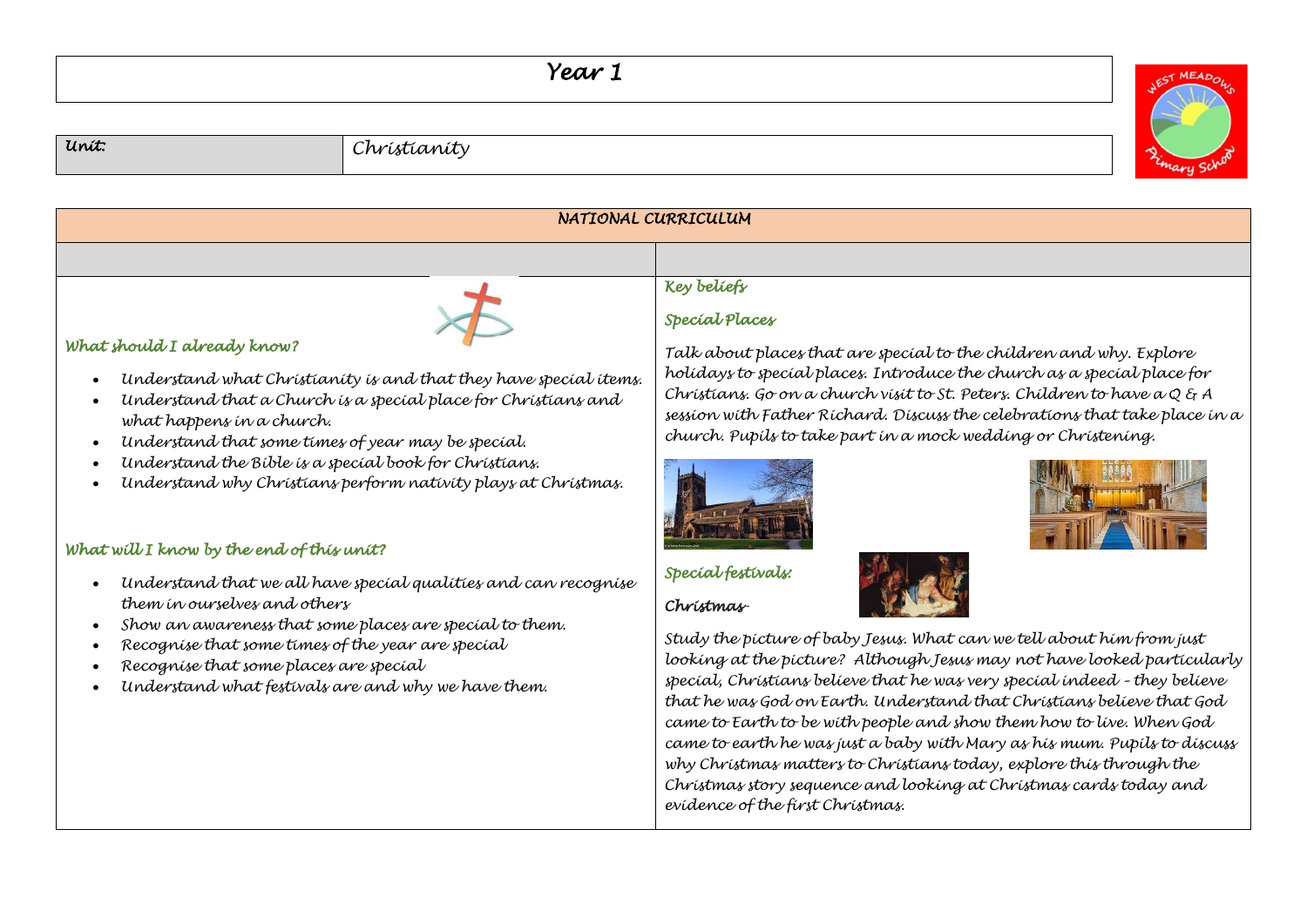## *Year 1*



## *Unit: Christianity*



- *Recognise that some places are special*
- *Understand what festivals are and why we have them.*

*looking at the picture? Although Jesus may not have looked particularly special, Christians believe that he was very special indeed – they believe that he was God on Earth. Understand that Christians believe that God came to Earth to be with people and show them how to live. When God came to earth he was just a baby with Mary as his mum. Pupils to discuss why Christmas matters to Christians today, explore this through the Christmas story sequence and looking at Christmas cards today and evidence of the first Christmas.*